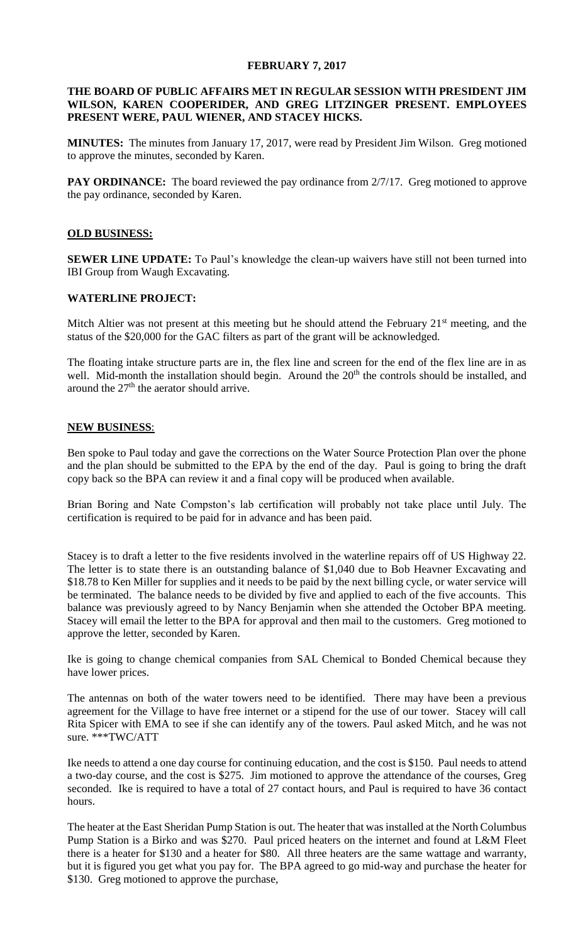# **FEBRUARY 7, 2017**

## **THE BOARD OF PUBLIC AFFAIRS MET IN REGULAR SESSION WITH PRESIDENT JIM WILSON, KAREN COOPERIDER, AND GREG LITZINGER PRESENT. EMPLOYEES PRESENT WERE, PAUL WIENER, AND STACEY HICKS.**

**MINUTES:** The minutes from January 17, 2017, were read by President Jim Wilson. Greg motioned to approve the minutes, seconded by Karen.

**PAY ORDINANCE:** The board reviewed the pay ordinance from 2/7/17. Greg motioned to approve the pay ordinance, seconded by Karen.

### **OLD BUSINESS:**

**SEWER LINE UPDATE:** To Paul's knowledge the clean-up waivers have still not been turned into IBI Group from Waugh Excavating.

### **WATERLINE PROJECT:**

Mitch Altier was not present at this meeting but he should attend the February  $21<sup>st</sup>$  meeting, and the status of the \$20,000 for the GAC filters as part of the grant will be acknowledged.

The floating intake structure parts are in, the flex line and screen for the end of the flex line are in as well. Mid-month the installation should begin. Around the 20<sup>th</sup> the controls should be installed, and around the  $27<sup>th</sup>$  the aerator should arrive.

### **NEW BUSINESS**:

Ben spoke to Paul today and gave the corrections on the Water Source Protection Plan over the phone and the plan should be submitted to the EPA by the end of the day. Paul is going to bring the draft copy back so the BPA can review it and a final copy will be produced when available.

Brian Boring and Nate Compston's lab certification will probably not take place until July. The certification is required to be paid for in advance and has been paid.

Stacey is to draft a letter to the five residents involved in the waterline repairs off of US Highway 22. The letter is to state there is an outstanding balance of \$1,040 due to Bob Heavner Excavating and \$18.78 to Ken Miller for supplies and it needs to be paid by the next billing cycle, or water service will be terminated. The balance needs to be divided by five and applied to each of the five accounts. This balance was previously agreed to by Nancy Benjamin when she attended the October BPA meeting. Stacey will email the letter to the BPA for approval and then mail to the customers. Greg motioned to approve the letter, seconded by Karen.

Ike is going to change chemical companies from SAL Chemical to Bonded Chemical because they have lower prices.

The antennas on both of the water towers need to be identified. There may have been a previous agreement for the Village to have free internet or a stipend for the use of our tower. Stacey will call Rita Spicer with EMA to see if she can identify any of the towers. Paul asked Mitch, and he was not sure. \*\*\*TWC/ATT

Ike needs to attend a one day course for continuing education, and the cost is \$150. Paul needs to attend a two-day course, and the cost is \$275. Jim motioned to approve the attendance of the courses, Greg seconded. Ike is required to have a total of 27 contact hours, and Paul is required to have 36 contact hours.

The heater at the East Sheridan Pump Station is out. The heater that was installed at the North Columbus Pump Station is a Birko and was \$270. Paul priced heaters on the internet and found at L&M Fleet there is a heater for \$130 and a heater for \$80. All three heaters are the same wattage and warranty, but it is figured you get what you pay for. The BPA agreed to go mid-way and purchase the heater for \$130. Greg motioned to approve the purchase,